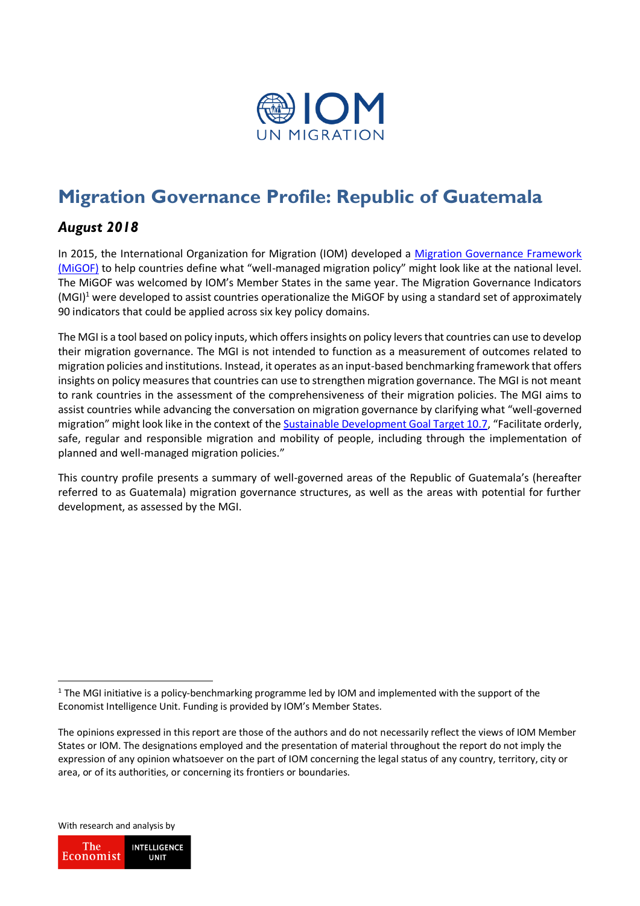

# **Migration Governance Profile: Republic of Guatemala**

## *August 2018*

In 2015, the International Organization for Migration (IOM) developed a Migration Governance Framework [\(MiGOF\)](https://www.iom.int/sites/default/files/about-iom/migof_brochure_a4_en.pdf) to help countries define what "well-managed migration policy" might look like at the national level. The MiGOF was welcomed by IOM's Member States in the same year. The Migration Governance Indicators (MGI)<sup>1</sup> were developed to assist countries operationalize the MiGOF by using a standard set of approximately 90 indicators that could be applied across six key policy domains.

The MGI is a tool based on policy inputs, which offers insights on policy levers that countries can use to develop their migration governance. The MGI is not intended to function as a measurement of outcomes related to migration policies and institutions. Instead, it operates as an input-based benchmarking framework that offers insights on policy measures that countries can use to strengthen migration governance. The MGI is not meant to rank countries in the assessment of the comprehensiveness of their migration policies. The MGI aims to assist countries while advancing the conversation on migration governance by clarifying what "well-governed migration" might look like in the context of the [Sustainable Development Goal Target 10.7](https://www.iom.int/sites/default/files/about-iom/migof_brochure_a4_en.pdf), "Facilitate orderly, safe, regular and responsible migration and mobility of people, including through the implementation of planned and well-managed migration policies."

This country profile presents a summary of well-governed areas of the Republic of Guatemala's (hereafter referred to as Guatemala) migration governance structures, as well as the areas with potential for further development, as assessed by the MGI.

With research and analysis by

1

The **INTELLIGENCE** Economist **UNIT** 

 $1$  The MGI initiative is a policy-benchmarking programme led by IOM and implemented with the support of the Economist Intelligence Unit. Funding is provided by IOM's Member States.

The opinions expressed in this report are those of the authors and do not necessarily reflect the views of IOM Member States or IOM. The designations employed and the presentation of material throughout the report do not imply the expression of any opinion whatsoever on the part of IOM concerning the legal status of any country, territory, city or area, or of its authorities, or concerning its frontiers or boundaries.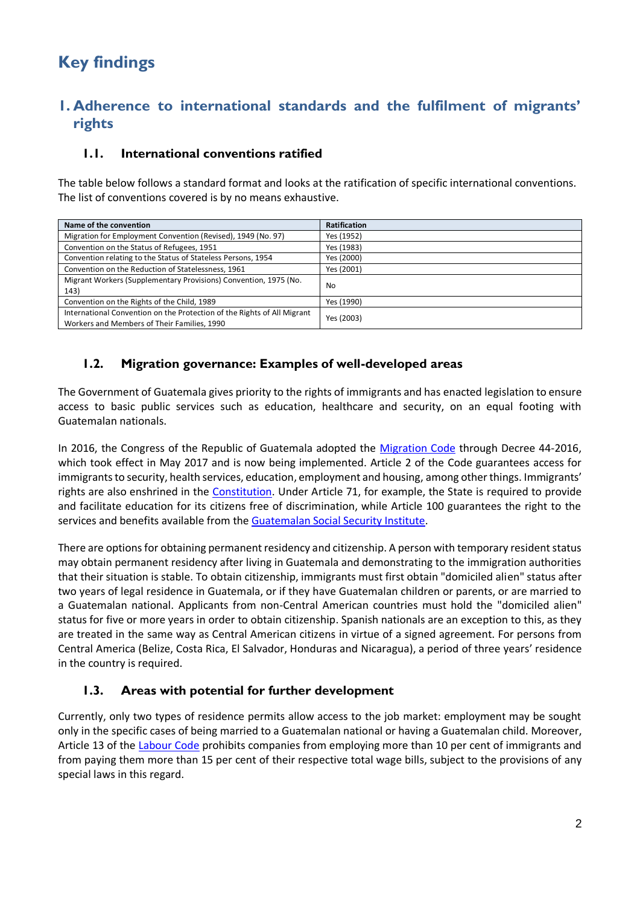# **Key findings**

## **1. Adherence to international standards and the fulfilment of migrants' rights**

### **1.1. International conventions ratified**

The table below follows a standard format and looks at the ratification of specific international conventions. The list of conventions covered is by no means exhaustive.

| Name of the convention                                                                                                 | <b>Ratification</b> |
|------------------------------------------------------------------------------------------------------------------------|---------------------|
| Migration for Employment Convention (Revised), 1949 (No. 97)                                                           | Yes (1952)          |
| Convention on the Status of Refugees, 1951                                                                             | Yes (1983)          |
| Convention relating to the Status of Stateless Persons, 1954                                                           | Yes (2000)          |
| Convention on the Reduction of Statelessness, 1961                                                                     | Yes (2001)          |
| Migrant Workers (Supplementary Provisions) Convention, 1975 (No.<br>143)                                               | No                  |
| Convention on the Rights of the Child, 1989                                                                            | Yes (1990)          |
| International Convention on the Protection of the Rights of All Migrant<br>Workers and Members of Their Families, 1990 | Yes (2003)          |

### **1.2. Migration governance: Examples of well-developed areas**

The Government of Guatemala gives priority to the rights of immigrants and has enacted legislation to ensure access to basic public services such as education, healthcare and security, on an equal footing with Guatemalan nationals.

In 2016, the Congress of the Republic of Guatemala adopted the [Migration Code](http://www.acnur.org/fileadmin/Documentos/BDL/2017/10978.pdf) through Decree 44-2016, which took effect in May 2017 and is now being implemented. Article 2 of the Code guarantees access for immigrants to security, health services, education, employment and housing, among other things. Immigrants' rights are also enshrined in the [Constitution.](https://www.oas.org/juridico/mla/sp/gtm/sp_gtm-int-text-const.pdf) Under Article 71, for example, the State is required to provide and facilitate education for its citizens free of discrimination, while Article 100 guarantees the right to the services and benefits available from the [Guatemalan Social Security Institute.](http://www.igssgt.org/)

There are options for obtaining permanent residency and citizenship. A person with temporary resident status may obtain permanent residency after living in Guatemala and demonstrating to the immigration authorities that their situation is stable. To obtain citizenship, immigrants must first obtain "domiciled alien" status after two years of legal residence in Guatemala, or if they have Guatemalan children or parents, or are married to a Guatemalan national. Applicants from non-Central American countries must hold the "domiciled alien" status for five or more years in order to obtain citizenship. Spanish nationals are an exception to this, as they are treated in the same way as Central American citizens in virtue of a signed agreement. For persons from Central America (Belize, Costa Rica, El Salvador, Honduras and Nicaragua), a period of three years' residence in the country is required.

### **1.3. Areas with potential for further development**

Currently, only two types of residence permits allow access to the job market: employment may be sought only in the specific cases of being married to a Guatemalan national or having a Guatemalan child. Moreover, Article 13 of the [Labour Code](http://biblioteca.oj.gob.gt/digitales/36036.pdf) prohibits companies from employing more than 10 per cent of immigrants and from paying them more than 15 per cent of their respective total wage bills, subject to the provisions of any special laws in this regard.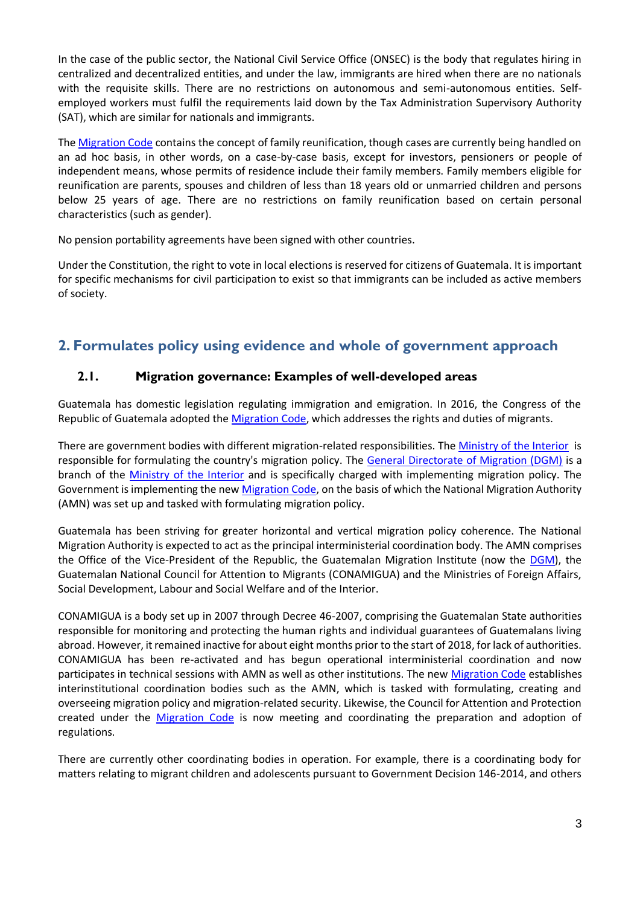In the case of the public sector, the National Civil Service Office (ONSEC) is the body that regulates hiring in centralized and decentralized entities, and under the law, immigrants are hired when there are no nationals with the requisite skills. There are no restrictions on autonomous and semi-autonomous entities. Selfemployed workers must fulfil the requirements laid down by the Tax Administration Supervisory Authority (SAT), which are similar for nationals and immigrants.

The [Migration Code](http://www.acnur.org/fileadmin/Documentos/BDL/2017/10978.pdf) contains the concept of family reunification, though cases are currently being handled on an ad hoc basis, in other words, on a case-by-case basis, except for investors, pensioners or people of independent means, whose permits of residence include their family members. Family members eligible for reunification are parents, spouses and children of less than 18 years old or unmarried children and persons below 25 years of age. There are no restrictions on family reunification based on certain personal characteristics (such as gender).

No pension portability agreements have been signed with other countries.

Under the Constitution, the right to vote in local elections is reserved for citizens of Guatemala. It is important for specific mechanisms for civil participation to exist so that immigrants can be included as active members of society.

### **2. Formulates policy using evidence and whole of government approach**

### **2.1. Migration governance: Examples of well-developed areas**

Guatemala has domestic legislation regulating immigration and emigration. In 2016, the Congress of the Republic of Guatemala adopted the [Migration Code,](http://www.acnur.org/fileadmin/Documentos/BDL/2017/10978.pdf) which addresses the rights and duties of migrants.

There are government bodies with different migration-related responsibilities. The [Ministry of the Interior](http://mingob.gob.gt/) is responsible for formulating the country's migration policy. The [General Directorate of Migration \(DGM\)](http://igm.gob.gt/) is a branch of the [Ministry of the Interior](http://mingob.gob.gt/) and is specifically charged with implementing migration policy. The Government is implementing the new [Migration Code,](http://www.acnur.org/fileadmin/Documentos/BDL/2017/10978.pdf) on the basis of which the National Migration Authority (AMN) was set up and tasked with formulating migration policy.

Guatemala has been striving for greater horizontal and vertical migration policy coherence. The National Migration Authority is expected to act as the principal interministerial coordination body. The AMN comprises the Office of the Vice-President of the Republic, the Guatemalan Migration Institute (now the [DGM\)](http://igm.gob.gt/), the Guatemalan National Council for Attention to Migrants (CONAMIGUA) and the Ministries of Foreign Affairs, Social Development, Labour and Social Welfare and of the Interior.

CONAMIGUA is a body set up in 2007 through Decree 46-2007, comprising the Guatemalan State authorities responsible for monitoring and protecting the human rights and individual guarantees of Guatemalans living abroad. However, it remained inactive for about eight months prior to the start of 2018, for lack of authorities. CONAMIGUA has been re-activated and has begun operational interministerial coordination and now participates in technical sessions with AMN as well as other institutions. The new [Migration Code](http://www.acnur.org/fileadmin/Documentos/BDL/2017/10978.pdf) establishes interinstitutional coordination bodies such as the AMN, which is tasked with formulating, creating and overseeing migration policy and migration-related security. Likewise, the Council for Attention and Protection created under the [Migration Code](http://www.acnur.org/fileadmin/Documentos/BDL/2017/10978.pdf) is now meeting and coordinating the preparation and adoption of regulations.

There are currently other coordinating bodies in operation. For example, there is a coordinating body for matters relating to migrant children and adolescents pursuant to Government Decision 146-2014, and others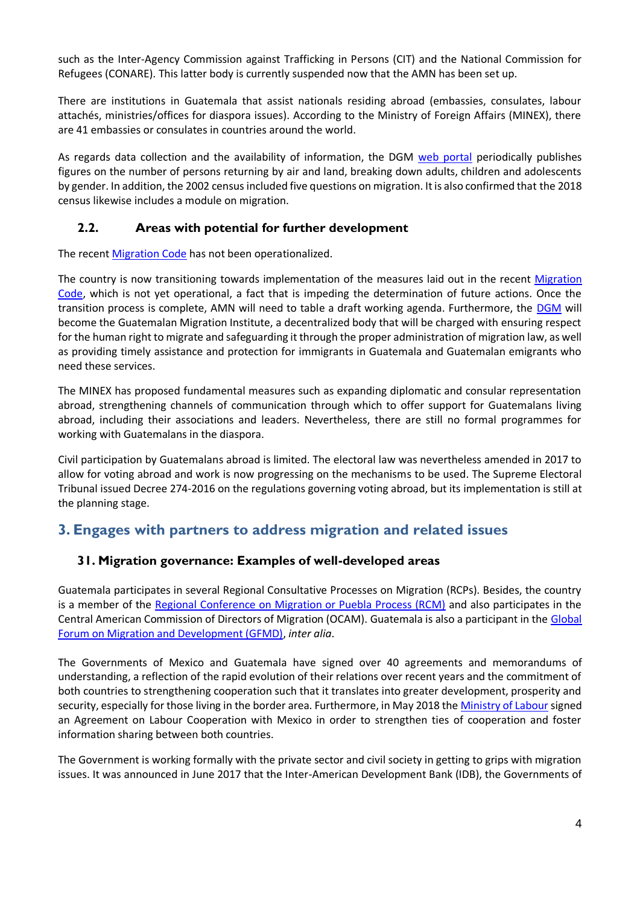such as the Inter-Agency Commission against Trafficking in Persons (CIT) and the National Commission for Refugees (CONARE). This latter body is currently suspended now that the AMN has been set up.

There are institutions in Guatemala that assist nationals residing abroad (embassies, consulates, labour attachés, ministries/offices for diaspora issues). According to the Ministry of Foreign Affairs (MINEX), there are 41 embassies or consulates in countries around the world.

As regards data collection and the availability of information, the DGM [web portal](http://igm.gob.gt/) periodically publishes figures on the number of persons returning by air and land, breaking down adults, children and adolescents by gender. In addition, the 2002 census included five questions on migration. It is also confirmed that the 2018 census likewise includes a module on migration.

#### **2.2. Areas with potential for further development**

The recent [Migration Code](http://www.acnur.org/fileadmin/Documentos/BDL/2017/10978.pdf) has not been operationalized.

The country is now transitioning towards implementation of the measures laid out in the recent Migration [Code,](http://www.acnur.org/fileadmin/Documentos/BDL/2017/10978.pdf) which is not yet operational, a fact that is impeding the determination of future actions. Once the transition process is complete, AMN will need to table a draft working agenda. Furthermore, the [DGM](http://igm.gob.gt/) will become the Guatemalan Migration Institute, a decentralized body that will be charged with ensuring respect for the human right to migrate and safeguarding it through the proper administration of migration law, as well as providing timely assistance and protection for immigrants in Guatemala and Guatemalan emigrants who need these services.

The MINEX has proposed fundamental measures such as expanding diplomatic and consular representation abroad, strengthening channels of communication through which to offer support for Guatemalans living abroad, including their associations and leaders. Nevertheless, there are still no formal programmes for working with Guatemalans in the diaspora.

Civil participation by Guatemalans abroad is limited. The electoral law was nevertheless amended in 2017 to allow for voting abroad and work is now progressing on the mechanisms to be used. The Supreme Electoral Tribunal issued Decree 274-2016 on the regulations governing voting abroad, but its implementation is still at the planning stage.

### **3. Engages with partners to address migration and related issues**

#### **31. Migration governance: Examples of well-developed areas**

Guatemala participates in several Regional Consultative Processes on Migration (RCPs). Besides, the country is a member of the [Regional Conference on Migration or Puebla Process \(RCM\)](http://www.crmsv.org/) and also participates in the Central American Commission of Directors of Migration (OCAM). Guatemala is also a participant in the [Global](https://gfmd.org/)  [Forum on Migration and Development \(GFMD\),](https://gfmd.org/) *inter alia*.

The Governments of Mexico and Guatemala have signed over 40 agreements and memorandums of understanding, a reflection of the rapid evolution of their relations over recent years and the commitment of both countries to strengthening cooperation such that it translates into greater development, prosperity and security, especially for those living in the border area. Furthermore, in May 2018 th[e Ministry of Labour](http://www.mintrabajo.gob.gt/) signed an Agreement on Labour Cooperation with Mexico in order to strengthen ties of cooperation and foster information sharing between both countries.

The Government is working formally with the private sector and civil society in getting to grips with migration issues. It was announced in June 2017 that the Inter-American Development Bank (IDB), the Governments of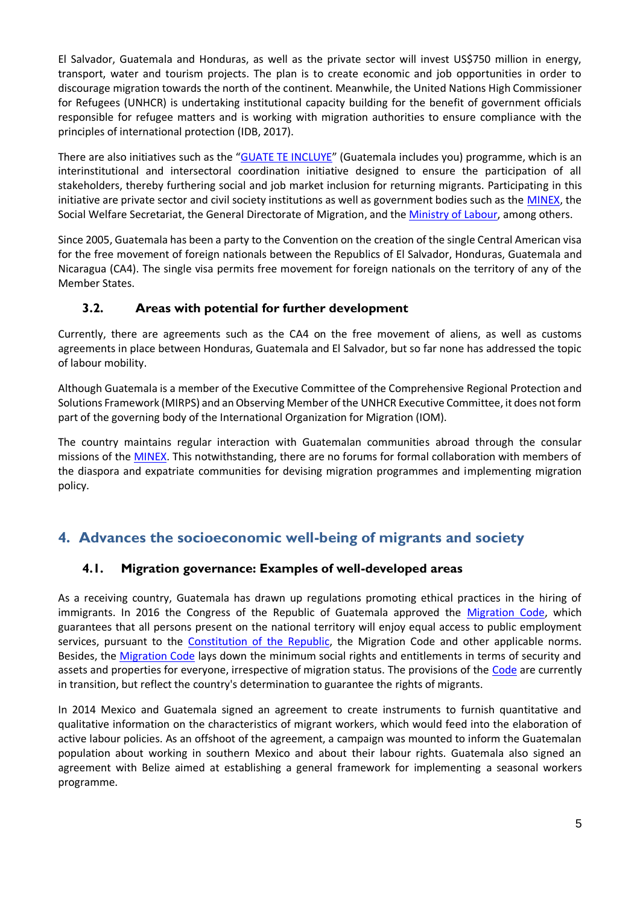El Salvador, Guatemala and Honduras, as well as the private sector will invest US\$750 million in energy, transport, water and tourism projects. The plan is to create economic and job opportunities in order to discourage migration towards the north of the continent. Meanwhile, the United Nations High Commissioner for Refugees (UNHCR) is undertaking institutional capacity building for the benefit of government officials responsible for refugee matters and is working with migration authorities to ensure compliance with the principles of international protection (IDB, 2017).

There are also initiatives such as the "[GUATE TE INCLUYE](http://www.avina.net/avina/en/guatemala-lanzan-programa-guate-te-incluye-migrantes-deportados/)" (Guatemala includes you) programme, which is an interinstitutional and intersectoral coordination initiative designed to ensure the participation of all stakeholders, thereby furthering social and job market inclusion for returning migrants. Participating in this initiative are private sector and civil society institutions as well as government bodies such as the [MINEX,](http://www.minex.gob.gt/) the Social Welfare Secretariat, the General Directorate of Migration, and the **Ministry of Labour**, among others.

Since 2005, Guatemala has been a party to the Convention on the creation of the single Central American visa for the free movement of foreign nationals between the Republics of El Salvador, Honduras, Guatemala and Nicaragua (CA4). The single visa permits free movement for foreign nationals on the territory of any of the Member States.

### **3.2. Areas with potential for further development**

Currently, there are agreements such as the CA4 on the free movement of aliens, as well as customs agreements in place between Honduras, Guatemala and El Salvador, but so far none has addressed the topic of labour mobility.

Although Guatemala is a member of the Executive Committee of the Comprehensive Regional Protection and Solutions Framework (MIRPS) and an Observing Member of the UNHCR Executive Committee, it does not form part of the governing body of the International Organization for Migration (IOM).

The country maintains regular interaction with Guatemalan communities abroad through the consular missions of the [MINEX.](http://www.minex.gob.gt/) This notwithstanding, there are no forums for formal collaboration with members of the diaspora and expatriate communities for devising migration programmes and implementing migration policy.

## **4. Advances the socioeconomic well-being of migrants and society**

### **4.1. Migration governance: Examples of well-developed areas**

As a receiving country, Guatemala has drawn up regulations promoting ethical practices in the hiring of immigrants. In 2016 the Congress of the Republic of Guatemala approved the [Migration Code,](http://www.acnur.org/fileadmin/Documentos/BDL/2017/10978.pdf) which guarantees that all persons present on the national territory will enjoy equal access to public employment services, pursuant to the [Constitution of the](https://www.oas.org/juridico/mla/sp/gtm/sp_gtm-int-text-const.pdf) Republic, the Migration Code and other applicable norms. Besides, the [Migration Code](http://www.acnur.org/fileadmin/Documentos/BDL/2017/10978.pdf) lays down the minimum social rights and entitlements in terms of security and assets and properties for everyone, irrespective of migration status. The provisions of the [Code](http://www.acnur.org/fileadmin/Documentos/BDL/2017/10978.pdf) are currently in transition, but reflect the country's determination to guarantee the rights of migrants.

In 2014 Mexico and Guatemala signed an agreement to create instruments to furnish quantitative and qualitative information on the characteristics of migrant workers, which would feed into the elaboration of active labour policies. As an offshoot of the agreement, a campaign was mounted to inform the Guatemalan population about working in southern Mexico and about their labour rights. Guatemala also signed an agreement with Belize aimed at establishing a general framework for implementing a seasonal workers programme.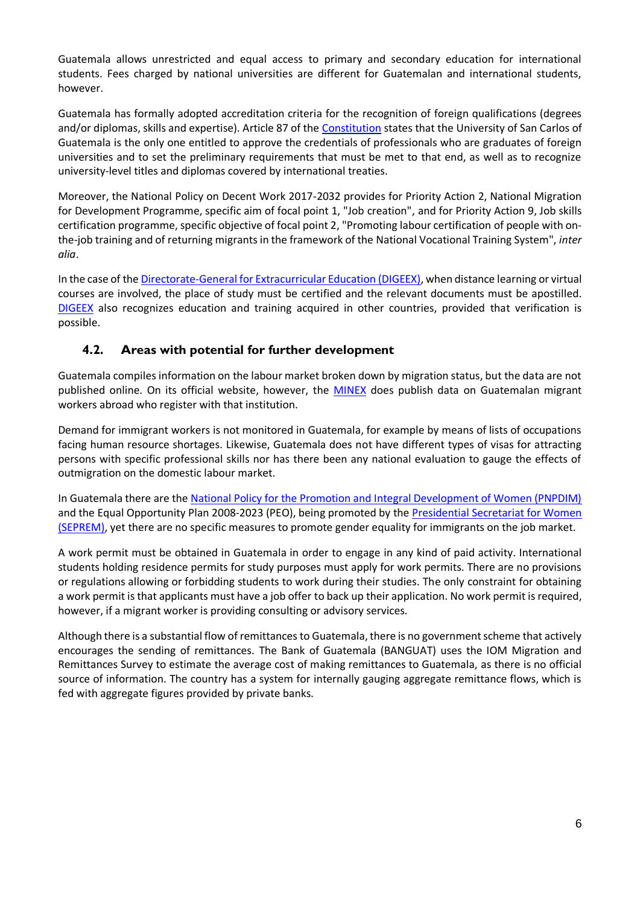Guatemala allows unrestricted and equal access to primary and secondary education for international students. Fees charged by national universities are different for Guatemalan and international students, however.

Guatemala has formally adopted accreditation criteria for the recognition of foreign qualifications (degrees and/or diplomas, skills and expertise). Article 87 of the [Constitution](https://www.oas.org/juridico/mla/sp/gtm/sp_gtm-int-text-const.pdf) states that the University of San Carlos of Guatemala is the only one entitled to approve the credentials of professionals who are graduates of foreign universities and to set the preliminary requirements that must be met to that end, as well as to recognize university-level titles and diplomas covered by international treaties.

Moreover, the National Policy on Decent Work 2017-2032 provides for Priority Action 2, National Migration for Development Programme, specific aim of focal point 1, "Job creation", and for Priority Action 9, Job skills certification programme, specific objective of focal point 2, "Promoting labour certification of people with onthe-job training and of returning migrants in the framework of the National Vocational Training System", *inter alia*.

In the case of th[e Directorate-General for Extracurricular Education \(DIGEEX\),](http://digeex.mineduc.gob.gt/digeex/index.php/es/) when distance learning or virtual courses are involved, the place of study must be certified and the relevant documents must be apostilled. [DIGEEX](http://digeex.mineduc.gob.gt/digeex/index.php/es/) also recognizes education and training acquired in other countries, provided that verification is possible.

### **4.2. Areas with potential for further development**

Guatemala compiles information on the labour market broken down by migration status, but the data are not published online. On its official website, however, the **MINEX** does publish data on Guatemalan migrant workers abroad who register with that institution.

Demand for immigrant workers is not monitored in Guatemala, for example by means of lists of occupations facing human resource shortages. Likewise, Guatemala does not have different types of visas for attracting persons with specific professional skills nor has there been any national evaluation to gauge the effects of outmigration on the domestic labour market.

In Guatemala there are the [National Policy for the Promotion and Integral Development of Women \(PNPDIM\)](http://www.segeplan.gob.gt/downloads/clearinghouse/politicas_publicas/Derechos%20Humanos/Politica%20Promoci%C3%B3n%20%20y%20desarrollo%20Mujeres%202008-2023.pdf) and the Equal Opportunity Plan 2008-2023 (PEO), being promoted by the Presidential Secretariat for Women [\(SEPREM\),](http://seprem.gob.gt/) yet there are no specific measures to promote gender equality for immigrants on the job market.

A work permit must be obtained in Guatemala in order to engage in any kind of paid activity. International students holding residence permits for study purposes must apply for work permits. There are no provisions or regulations allowing or forbidding students to work during their studies. The only constraint for obtaining a work permit is that applicants must have a job offer to back up their application. No work permit is required, however, if a migrant worker is providing consulting or advisory services.

Although there is a substantial flow of remittances to Guatemala, there is no government scheme that actively encourages the sending of remittances. The Bank of Guatemala (BANGUAT) uses the IOM Migration and Remittances Survey to estimate the average cost of making remittances to Guatemala, as there is no official source of information. The country has a system for internally gauging aggregate remittance flows, which is fed with aggregate figures provided by private banks.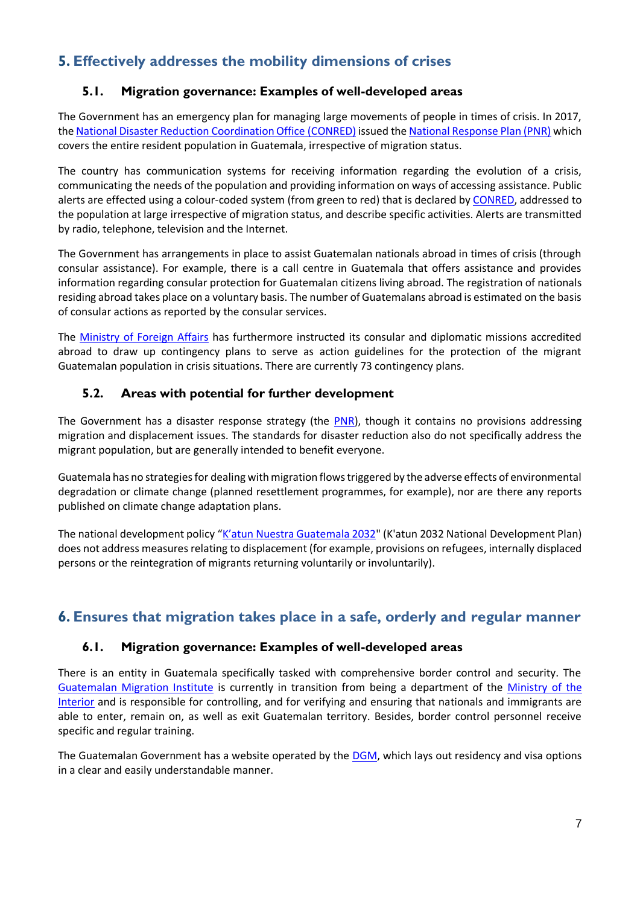# **5. Effectively addresses the mobility dimensions of crises**

### **5.1. Migration governance: Examples of well-developed areas**

The Government has an emergency plan for managing large movements of people in times of crisis. In 2017, the [National Disaster Reduction Coordination Office](https://conred.gob.gt/site/index.php) (CONRED) issued th[e National Response Plan \(PNR\)](https://www.conred.gob.gt/www/documentos/planes/Plan-Nacional-de-Respuesta.pdf) which covers the entire resident population in Guatemala, irrespective of migration status.

The country has communication systems for receiving information regarding the evolution of a crisis, communicating the needs of the population and providing information on ways of accessing assistance. Public alerts are effected using a colour-coded system (from green to red) that is declared by [CONRED,](https://conred.gob.gt/site/index.php) addressed to the population at large irrespective of migration status, and describe specific activities. Alerts are transmitted by radio, telephone, television and the Internet.

The Government has arrangements in place to assist Guatemalan nationals abroad in times of crisis (through consular assistance). For example, there is a call centre in Guatemala that offers assistance and provides information regarding consular protection for Guatemalan citizens living abroad. The registration of nationals residing abroad takes place on a voluntary basis. The number of Guatemalans abroad is estimated on the basis of consular actions as reported by the consular services.

The [Ministry of Foreign Affairs](http://www.minex.gob.gt/) has furthermore instructed its consular and diplomatic missions accredited abroad to draw up contingency plans to serve as action guidelines for the protection of the migrant Guatemalan population in crisis situations. There are currently 73 contingency plans.

### **5.2. Areas with potential for further development**

The Government has a disaster response strategy (the [PNR\)](https://www.conred.gob.gt/www/documentos/planes/Plan-Nacional-de-Respuesta.pdf), though it contains no provisions addressing migration and displacement issues. The standards for disaster reduction also do not specifically address the migrant population, but are generally intended to benefit everyone.

Guatemala has no strategies for dealing with migration flows triggered by the adverse effects of environmental degradation or climate change (planned resettlement programmes, for example), nor are there any reports published on climate change adaptation plans.

The national development policy ["K'atun Nuestra Guatemala 2032](http://www.undp.org/content/dam/guatemala/docs/publications/undp_gt_PND_Katun2032.pdf)" (K'atun 2032 National Development Plan) does not address measures relating to displacement (for example, provisions on refugees, internally displaced persons or the reintegration of migrants returning voluntarily or involuntarily).

## **6. Ensures that migration takes place in a safe, orderly and regular manner**

#### **6.1. Migration governance: Examples of well-developed areas**

There is an entity in Guatemala specifically tasked with comprehensive border control and security. The [Guatemalan Migration Institute](http://igm.gob.gt/) is currently in transition from being a department of the [Ministry of the](http://igm.gob.gt/)  [Interior](http://igm.gob.gt/) and is responsible for controlling, and for verifying and ensuring that nationals and immigrants are able to enter, remain on, as well as exit Guatemalan territory. Besides, border control personnel receive specific and regular training.

The Guatemalan Government has a website operated by the **DGM**, which lays out residency and visa options in a clear and easily understandable manner.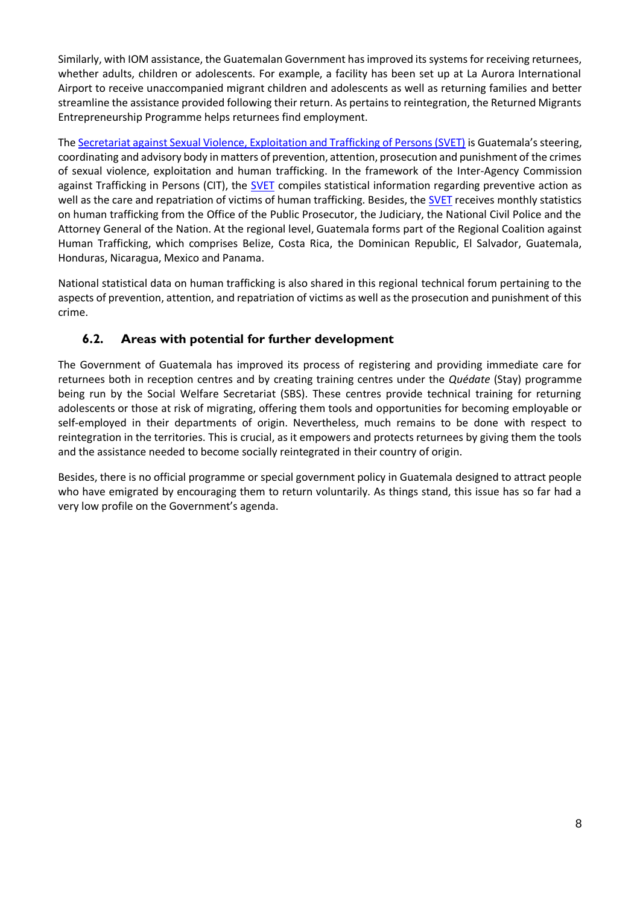Similarly, with IOM assistance, the Guatemalan Government has improved its systems for receiving returnees, whether adults, children or adolescents. For example, a facility has been set up at La Aurora International Airport to receive unaccompanied migrant children and adolescents as well as returning families and better streamline the assistance provided following their return. As pertains to reintegration, the Returned Migrants Entrepreneurship Programme helps returnees find employment.

The [Secretariat against Sexual Violence, Exploitation and Trafficking of Persons \(SVET\)](http://svet.gob.gt/) is Guatemala's steering, coordinating and advisory body in matters of prevention, attention, prosecution and punishment of the crimes of sexual violence, exploitation and human trafficking. In the framework of the Inter-Agency Commission against Trafficking in Persons (CIT), the [SVET](http://svet.gob.gt/) compiles statistical information regarding preventive action as well as the care and repatriation of victims of human trafficking. Besides, the **SVET** receives monthly statistics on human trafficking from the Office of the Public Prosecutor, the Judiciary, the National Civil Police and the Attorney General of the Nation. At the regional level, Guatemala forms part of the Regional Coalition against Human Trafficking, which comprises Belize, Costa Rica, the Dominican Republic, El Salvador, Guatemala, Honduras, Nicaragua, Mexico and Panama.

National statistical data on human trafficking is also shared in this regional technical forum pertaining to the aspects of prevention, attention, and repatriation of victims as well as the prosecution and punishment of this crime.

### **6.2. Areas with potential for further development**

The Government of Guatemala has improved its process of registering and providing immediate care for returnees both in reception centres and by creating training centres under the *Quédate* (Stay) programme being run by the Social Welfare Secretariat (SBS). These centres provide technical training for returning adolescents or those at risk of migrating, offering them tools and opportunities for becoming employable or self-employed in their departments of origin. Nevertheless, much remains to be done with respect to reintegration in the territories. This is crucial, as it empowers and protects returnees by giving them the tools and the assistance needed to become socially reintegrated in their country of origin.

Besides, there is no official programme or special government policy in Guatemala designed to attract people who have emigrated by encouraging them to return voluntarily. As things stand, this issue has so far had a very low profile on the Government's agenda.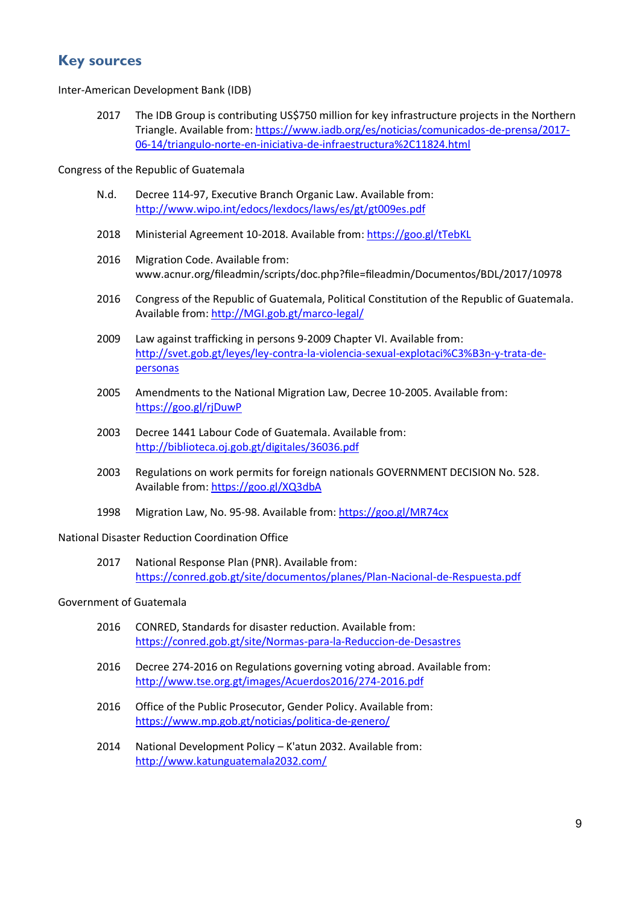### **Key sources**

Inter-American Development Bank (IDB)

2017 The IDB Group is contributing US\$750 million for key infrastructure projects in the Northern Triangle. Available from[: https://www.iadb.org/es/noticias/comunicados-de-prensa/2017-](https://www.iadb.org/es/noticias/comunicados-de-prensa/2017-06-14/triangulo-norte-en-iniciativa-de-infraestructura%2C11824.html) [06-14/triangulo-norte-en-iniciativa-de-infraestructura%2C11824.html](https://www.iadb.org/es/noticias/comunicados-de-prensa/2017-06-14/triangulo-norte-en-iniciativa-de-infraestructura%2C11824.html)

Congress of the Republic of Guatemala

- N.d. Decree 114-97, Executive Branch Organic Law. Available from: <http://www.wipo.int/edocs/lexdocs/laws/es/gt/gt009es.pdf>
- 2018 Ministerial Agreement 10-2018. Available from[: https://goo.gl/tTebKL](https://goo.gl/tTebKL)
- 2016 Migration Code. Available from: www.acnur.org/fileadmin/scripts/doc.php?file=fileadmin/Documentos/BDL/2017/10978
- 2016 Congress of the Republic of Guatemala, Political Constitution of the Republic of Guatemala. Available from[: http://MGI.gob.gt/marco-legal/](http://mgi.gob.gt/marco-legal/)
- 2009 Law against trafficking in persons 9-2009 Chapter VI. Available from: [http://svet.gob.gt/leyes/ley-contra-la-violencia-sexual-explotaci%C3%B3n-y-trata-de](http://svet.gob.gt/leyes/ley-contra-la-violencia-sexual-explotaci%C3%B3n-y-trata-de-personas)[personas](http://svet.gob.gt/leyes/ley-contra-la-violencia-sexual-explotaci%C3%B3n-y-trata-de-personas)
- 2005 Amendments to the National Migration Law, Decree 10-2005. Available from: <https://goo.gl/rjDuwP>
- 2003 Decree 1441 Labour Code of Guatemala. Available from: <http://biblioteca.oj.gob.gt/digitales/36036.pdf>
- 2003 Regulations on work permits for foreign nationals GOVERNMENT DECISION No. 528. Available from[: https://goo.gl/XQ3dbA](https://goo.gl/XQ3dbA)
- 1998 Migration Law, No. 95-98. Available from: <https://goo.gl/MR74cx>

National Disaster Reduction Coordination Office

2017 National Response Plan (PNR). Available from: <https://conred.gob.gt/site/documentos/planes/Plan-Nacional-de-Respuesta.pdf>

#### Government of Guatemala

- 2016 CONRED, Standards for disaster reduction. Available from: <https://conred.gob.gt/site/Normas-para-la-Reduccion-de-Desastres>
- 2016 Decree 274-2016 on Regulations governing voting abroad. Available from: <http://www.tse.org.gt/images/Acuerdos2016/274-2016.pdf>
- 2016 Office of the Public Prosecutor, Gender Policy. Available from: <https://www.mp.gob.gt/noticias/politica-de-genero/>
- 2014 National Development Policy K'atun 2032. Available from: <http://www.katunguatemala2032.com/>